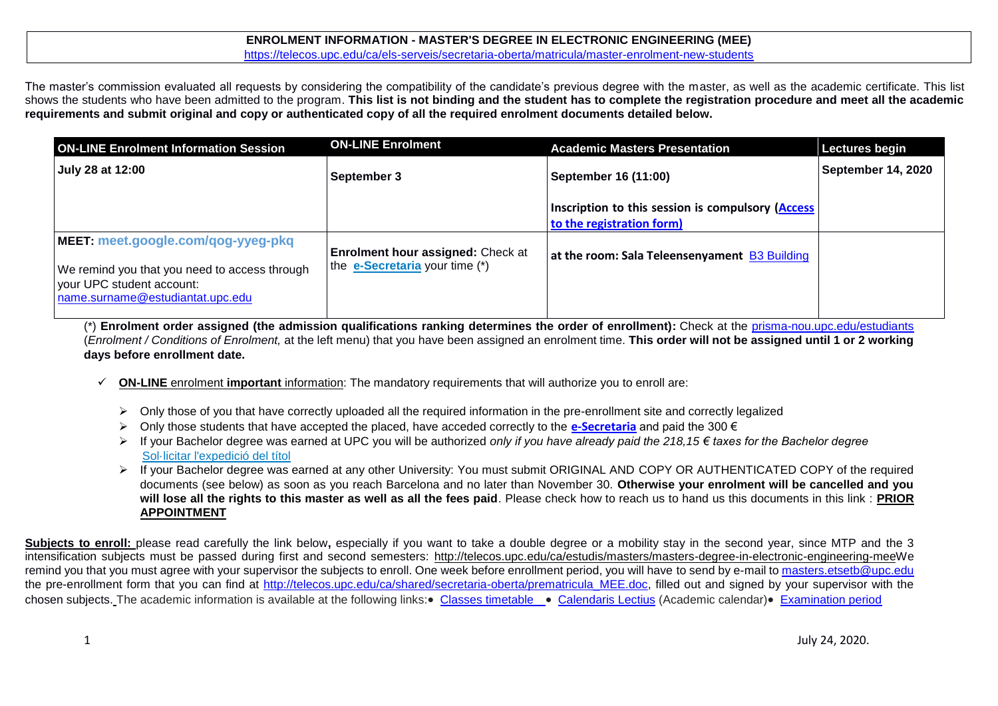# **ENROLMENT INFORMATION - MASTER'S DEGREE IN ELECTRONIC ENGINEERING (MEE)**

<https://telecos.upc.edu/ca/els-serveis/secretaria-oberta/matricula/master-enrolment-new-students>

The master's commission evaluated all requests by considering the compatibility of the candidate's previous degree with the master, as well as the academic certificate. This list shows the students who have been admitted to the program. **This list is not binding and the student has to complete the registration procedure and meet all the academic requirements and submit original and copy or authenticated copy of all the required enrolment documents detailed below.**

| <b>ON-LINE Enrolment Information Session</b>                                                                                                         | <b>ON-LINE Enrolment</b>                                                   | <b>Academic Masters Presentation</b>                                           | <b>Lectures begin</b>     |
|------------------------------------------------------------------------------------------------------------------------------------------------------|----------------------------------------------------------------------------|--------------------------------------------------------------------------------|---------------------------|
| July 28 at 12:00                                                                                                                                     | <b>September 3</b>                                                         | September 16 (11:00)                                                           | <b>September 14, 2020</b> |
|                                                                                                                                                      |                                                                            | Inscription to this session is compulsory (Access<br>to the registration form) |                           |
| MEET: meet.google.com/qog-yyeg-pkq<br>We remind you that you need to access through<br>your UPC student account:<br>name.surname@estudiantat.upc.edu | <b>Enrolment hour assigned: Check at</b><br>the e-Secretaria your time (*) | at the room: Sala Teleensenyament B3 Building                                  |                           |

(\*) **Enrolment order assigned (the admission qualifications ranking determines the order of enrollment):** Check at the [prisma-nou.upc.edu/estudiants](http://prisma-nou.upc.edu/estudiants) (*Enrolment / Conditions of Enrolment,* at the left menu) that you have been assigned an enrolment time. **This order will not be assigned until 1 or 2 working days before enrollment date.**

- **ON-LINE** enrolment **important** information: The mandatory requirements that will authorize you to enroll are:
	- $\triangleright$  Only those of you that have correctly uploaded all the required information in the pre-enrollment site and correctly legalized
	- Only those students that have accepted the placed, have acceded correctly to the **[e-Secretaria](https://prisma-nou.upc.edu/apl/home_estudiants.php)** and paid the 300 €
	- If your Bachelor degree was earned at UPC you will be authorized *only if you have already paid the 218,15 € taxes for the Bachelor degree* [Sol·licitar l'expedició del títol](https://telecos.upc.edu/ca/els-serveis/secretaria-oberta/certificats/titol-i-suplement-europeu-al-titol#section-1)
	- If your Bachelor degree was earned at any other University: You must submit ORIGINAL AND COPY OR AUTHENTICATED COPY of the required documents (see below) as soon as you reach Barcelona and no later than November 30. **Otherwise your enrolment will be cancelled and you will lose all the rights to this master as well as all the fees paid**. Please check how to reach us to hand us this documents in this link : **[PRIOR](https://telecos.upc.edu/ca/els-serveis/secretaria-oberta/cita-previa)  [APPOINTMENT](https://telecos.upc.edu/ca/els-serveis/secretaria-oberta/cita-previa)**

Subjects to enroll: please read carefully the link below, especially if you want to take a double degree or a mobility stay in the second year, since MTP and the 3 intensification subjects must be passed during first and second semesters: [http://telecos.upc.edu/ca/estudis/masters/masters-degree-in-electronic-engineering-meeW](http://telecos.upc.edu/ca/estudis/masters/masters-degree-in-electronic-engineering-mee)e remind you that you must agree with your supervisor the subjects to enroll. One week before enrollment period, you will have to send by e-mail to masters, etsetb@upc.edu the pre-enrollment form that you can find at http://telecos.upc.edu/ca/shared/secretaria-oberta/prematricula MEE.doc, filled out and signed by your supervisor with the chosen subiects. The academic information is available at the following links: [Classes timetable](https://telecos.upc.edu/ca/estudis/curs-actual/horaris-aules-i-calendaris/horaris-de-classe) . [Calendaris Lectius](https://telecos.upc.edu/ca/estudis/curs-actual/calendari-lectiu) (Academic calendar) [Examination period](https://telecos.upc.edu/ca/estudis/curs-actual/horaris-aules-i-calendaris/calendari-dexamens)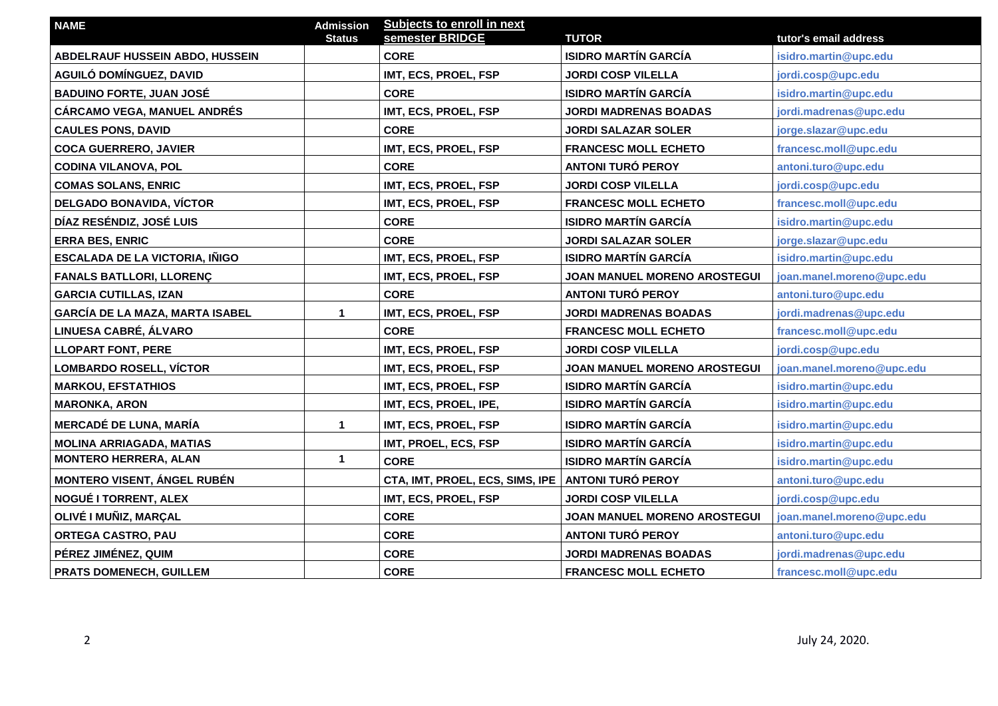| <b>NAME</b>                            | <b>Admission</b> | Subjects to enroll in next      |                                     |                           |
|----------------------------------------|------------------|---------------------------------|-------------------------------------|---------------------------|
|                                        | <b>Status</b>    | semester BRIDGE                 | <b>TUTOR</b>                        | tutor's email address     |
| ABDELRAUF HUSSEIN ABDO, HUSSEIN        |                  | <b>CORE</b>                     | <b>ISIDRO MARTÍN GARCÍA</b>         | isidro.martin@upc.edu     |
| AGUILÓ DOMÍNGUEZ, DAVID                |                  | IMT, ECS, PROEL, FSP            | <b>JORDI COSP VILELLA</b>           | jordi.cosp@upc.edu        |
| <b>BADUINO FORTE, JUAN JOSÉ</b>        |                  | <b>CORE</b>                     | <b>ISIDRO MARTÍN GARCÍA</b>         | isidro.martin@upc.edu     |
| <b>CÁRCAMO VEGA, MANUEL ANDRÉS</b>     |                  | IMT, ECS, PROEL, FSP            | <b>JORDI MADRENAS BOADAS</b>        | jordi.madrenas@upc.edu    |
| <b>CAULES PONS, DAVID</b>              |                  | <b>CORE</b>                     | <b>JORDI SALAZAR SOLER</b>          | jorge.slazar@upc.edu      |
| <b>COCA GUERRERO, JAVIER</b>           |                  | IMT, ECS, PROEL, FSP            | <b>FRANCESC MOLL ECHETO</b>         | francesc.moll@upc.edu     |
| <b>CODINA VILANOVA, POL</b>            |                  | <b>CORE</b>                     | <b>ANTONI TURÓ PEROY</b>            | antoni.turo@upc.edu       |
| <b>COMAS SOLANS, ENRIC</b>             |                  | IMT, ECS, PROEL, FSP            | <b>JORDI COSP VILELLA</b>           | jordi.cosp@upc.edu        |
| DELGADO BONAVIDA, VÍCTOR               |                  | IMT, ECS, PROEL, FSP            | <b>FRANCESC MOLL ECHETO</b>         | francesc.moll@upc.edu     |
| DÍAZ RESÉNDIZ, JOSÉ LUIS               |                  | <b>CORE</b>                     | <b>ISIDRO MARTÍN GARCÍA</b>         | isidro.martin@upc.edu     |
| <b>ERRA BES, ENRIC</b>                 |                  | <b>CORE</b>                     | <b>JORDI SALAZAR SOLER</b>          | jorge.slazar@upc.edu      |
| <b>ESCALADA DE LA VICTORIA, IÑIGO</b>  |                  | IMT, ECS, PROEL, FSP            | <b>ISIDRO MARTÍN GARCÍA</b>         | isidro.martin@upc.edu     |
| <b>FANALS BATLLORI, LLORENÇ</b>        |                  | IMT, ECS, PROEL, FSP            | JOAN MANUEL MORENO AROSTEGUI        | joan.manel.moreno@upc.edu |
| <b>GARCIA CUTILLAS, IZAN</b>           |                  | <b>CORE</b>                     | <b>ANTONI TURÓ PEROY</b>            | antoni.turo@upc.edu       |
| <b>GARCÍA DE LA MAZA, MARTA ISABEL</b> | $\mathbf 1$      | IMT, ECS, PROEL, FSP            | <b>JORDI MADRENAS BOADAS</b>        | jordi.madrenas@upc.edu    |
| LINUESA CABRÉ, ÁLVARO                  |                  | <b>CORE</b>                     | <b>FRANCESC MOLL ECHETO</b>         | francesc.moll@upc.edu     |
| <b>LLOPART FONT, PERE</b>              |                  | IMT, ECS, PROEL, FSP            | <b>JORDI COSP VILELLA</b>           | jordi.cosp@upc.edu        |
| <b>LOMBARDO ROSELL, VÍCTOR</b>         |                  | IMT, ECS, PROEL, FSP            | JOAN MANUEL MORENO AROSTEGUI        | joan.manel.moreno@upc.edu |
| <b>MARKOU, EFSTATHIOS</b>              |                  | IMT, ECS, PROEL, FSP            | <b>ISIDRO MARTÍN GARCÍA</b>         | isidro.martin@upc.edu     |
| <b>MARONKA, ARON</b>                   |                  | IMT, ECS, PROEL, IPE,           | <b>ISIDRO MARTÍN GARCÍA</b>         | isidro.martin@upc.edu     |
| <b>MERCADÉ DE LUNA, MARÍA</b>          | $\mathbf{1}$     | IMT, ECS, PROEL, FSP            | <b>ISIDRO MARTÍN GARCÍA</b>         | isidro.martin@upc.edu     |
| <b>MOLINA ARRIAGADA, MATIAS</b>        |                  | IMT, PROEL, ECS, FSP            | <b>ISIDRO MARTÍN GARCÍA</b>         | isidro.martin@upc.edu     |
| <b>MONTERO HERRERA, ALAN</b>           | $\mathbf{1}$     | <b>CORE</b>                     | <b>ISIDRO MARTÍN GARCÍA</b>         | isidro.martin@upc.edu     |
| <b>MONTERO VISENT, ÁNGEL RUBÉN</b>     |                  | CTA, IMT, PROEL, ECS, SIMS, IPE | <b>ANTONI TURÓ PEROY</b>            | antoni.turo@upc.edu       |
| NOGUÉ I TORRENT, ALEX                  |                  | IMT, ECS, PROEL, FSP            | <b>JORDI COSP VILELLA</b>           | jordi.cosp@upc.edu        |
| OLIVÉ I MUÑIZ, MARÇAL                  |                  | <b>CORE</b>                     | <b>JOAN MANUEL MORENO AROSTEGUI</b> | joan.manel.moreno@upc.edu |
| <b>ORTEGA CASTRO, PAU</b>              |                  | <b>CORE</b>                     | <b>ANTONI TURÓ PEROY</b>            | antoni.turo@upc.edu       |
| PÉREZ JIMÉNEZ, QUIM                    |                  | <b>CORE</b>                     | <b>JORDI MADRENAS BOADAS</b>        | jordi.madrenas@upc.edu    |
| PRATS DOMENECH, GUILLEM                |                  | <b>CORE</b>                     | <b>FRANCESC MOLL ECHETO</b>         | francesc.moll@upc.edu     |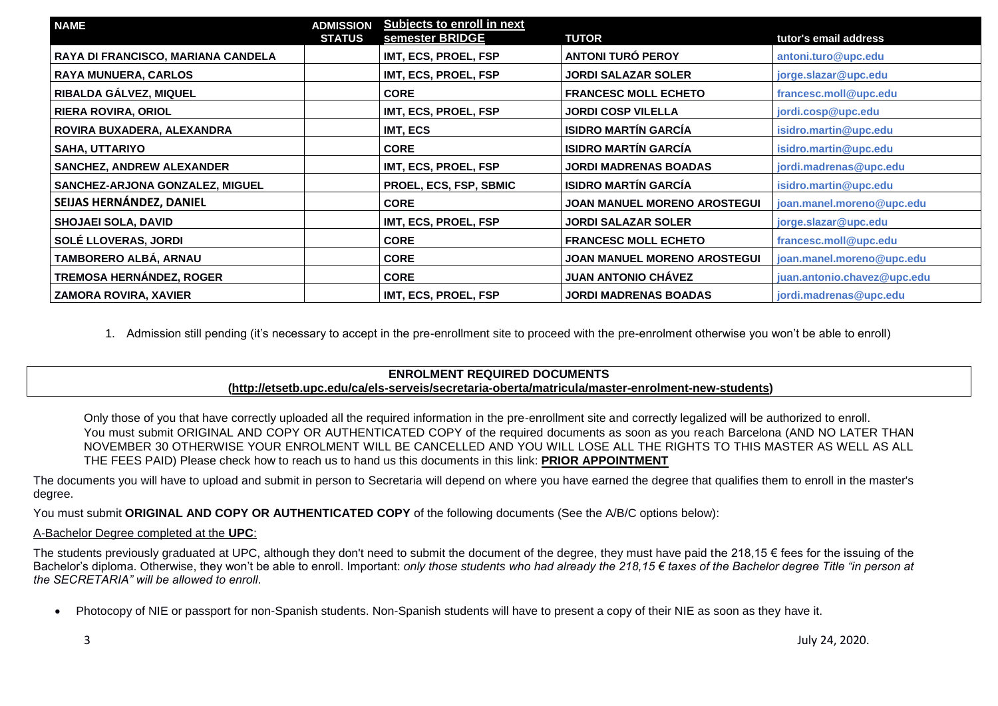| <b>NAME</b>                        | <b>ADMISSION</b> | Subjects to enroll in next<br>semester BRIDGE |                                     |                             |
|------------------------------------|------------------|-----------------------------------------------|-------------------------------------|-----------------------------|
|                                    | <b>STATUS</b>    |                                               | <b>TUTOR</b>                        | tutor's email address       |
| RAYA DI FRANCISCO, MARIANA CANDELA |                  | IMT, ECS, PROEL, FSP                          | <b>ANTONI TURÓ PEROY</b>            | antoni.turo@upc.edu         |
| <b>RAYA MUNUERA, CARLOS</b>        |                  | IMT, ECS, PROEL, FSP                          | <b>JORDI SALAZAR SOLER</b>          | jorge.slazar@upc.edu        |
| RIBALDA GÁLVEZ, MIQUEL             |                  | <b>CORE</b>                                   | <b>FRANCESC MOLL ECHETO</b>         | francesc.moll@upc.edu       |
| <b>RIERA ROVIRA, ORIOL</b>         |                  | IMT, ECS, PROEL, FSP                          | <b>JORDI COSP VILELLA</b>           | jordi.cosp@upc.edu          |
| ROVIRA BUXADERA, ALEXANDRA         |                  | IMT, ECS                                      | <b>ISIDRO MARTÍN GARCÍA</b>         | isidro.martin@upc.edu       |
| <b>SAHA, UTTARIYO</b>              |                  | <b>CORE</b>                                   | <b>ISIDRO MARTÍN GARCÍA</b>         | isidro.martin@upc.edu       |
| <b>SANCHEZ, ANDREW ALEXANDER</b>   |                  | IMT, ECS, PROEL, FSP                          | <b>JORDI MADRENAS BOADAS</b>        | jordi.madrenas@upc.edu      |
| SANCHEZ-ARJONA GONZALEZ, MIGUEL    |                  | PROEL, ECS, FSP, SBMIC                        | <b>ISIDRO MARTÍN GARCÍA</b>         | isidro.martin@upc.edu       |
| SEIJAS HERNÁNDEZ, DANIEL           |                  | <b>CORE</b>                                   | <b>JOAN MANUEL MORENO AROSTEGUI</b> | joan.manel.moreno@upc.edu   |
| <b>SHOJAEI SOLA, DAVID</b>         |                  | IMT, ECS, PROEL, FSP                          | <b>JORDI SALAZAR SOLER</b>          | jorge.slazar@upc.edu        |
| SOLÉ LLOVERAS, JORDI               |                  | <b>CORE</b>                                   | <b>FRANCESC MOLL ECHETO</b>         | francesc.moll@upc.edu       |
| TAMBORERO ALBÁ, ARNAU              |                  | <b>CORE</b>                                   | <b>JOAN MANUEL MORENO AROSTEGUI</b> | joan.manel.moreno@upc.edu   |
| <b>TREMOSA HERNÁNDEZ, ROGER</b>    |                  | <b>CORE</b>                                   | <b>JUAN ANTONIO CHAVEZ</b>          | juan.antonio.chavez@upc.edu |
| <b>ZAMORA ROVIRA, XAVIER</b>       |                  | <b>IMT, ECS, PROEL, FSP</b>                   | <b>JORDI MADRENAS BOADAS</b>        | jordi.madrenas@upc.edu      |

1. Admission still pending (it's necessary to accept in the pre-enrollment site to proceed with the pre-enrolment otherwise you won't be able to enroll)

# **ENROLMENT REQUIRED DOCUMENTS**

## **[\(http://etsetb.upc.edu/ca/els-serveis/secretaria-oberta/matricula/master-enrolment-new-students\)](http://etsetb.upc.edu/ca/els-serveis/secretaria-oberta/matricula/master-enrolment-new-students)**

Only those of you that have correctly uploaded all the required information in the pre-enrollment site and correctly legalized will be authorized to enroll. You must submit ORIGINAL AND COPY OR AUTHENTICATED COPY of the required documents as soon as you reach Barcelona (AND NO LATER THAN NOVEMBER 30 OTHERWISE YOUR ENROLMENT WILL BE CANCELLED AND YOU WILL LOSE ALL THE RIGHTS TO THIS MASTER AS WELL AS ALL THE FEES PAID) Please check how to reach us to hand us this documents in this link: **[PRIOR APPOINTMENT](https://telecos.upc.edu/ca/els-serveis/secretaria-oberta/cita-previa)**

The documents you will have to upload and submit in person to Secretaria will depend on where you have earned the degree that qualifies them to enroll in the master's degree.

You must submit **ORIGINAL AND COPY OR AUTHENTICATED COPY** of the following documents (See the A/B/C options below):

#### A-Bachelor Degree completed at the **UPC**:

The students previously graduated at UPC, although they don't need to submit the document of the degree, they must have paid the 218,15  $\epsilon$  fees for the issuing of the Bachelor's diploma. Otherwise, they won't be able to enroll. Important: *only those students who had already the 218,15 € taxes of the Bachelor degree Title "in person at the SECRETARIA" will be allowed to enroll*.

Photocopy of NIE or passport for non-Spanish students. Non-Spanish students will have to present a copy of their NIE as soon as they have it.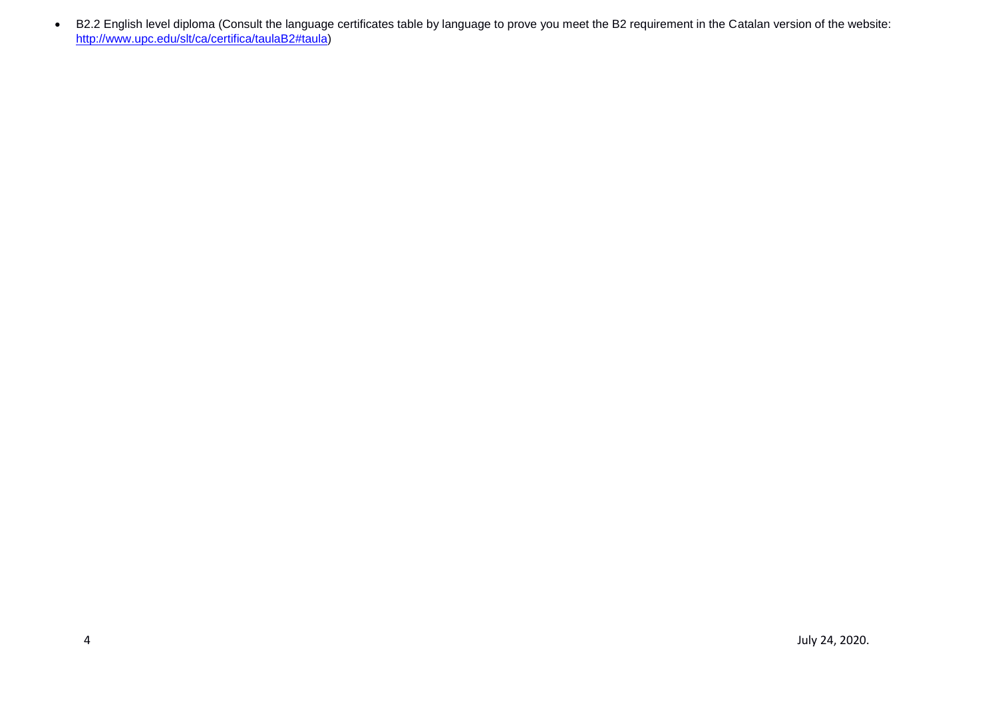B2.2 English level diploma (Consult the language certificates table by language to prove you meet the B2 requirement in the Catalan version of the website: [http://www.upc.edu/slt/ca/certifica/taulaB2#taula\)](http://www.upc.edu/slt/ca/certifica/taulaB2#taula)